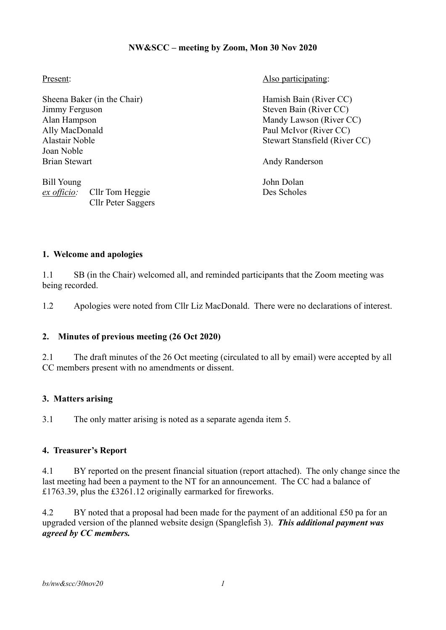# **NW&SCC – meeting by Zoom, Mon 30 Nov 2020**

Sheena Baker (in the Chair) Hamish Bain (River CC) Jimmy Ferguson Steven Bain (River CC) Alan Hampson Mandy Lawson (River CC) Ally MacDonald Paul McIvor (River CC) Joan Noble Brian Stewart Andy Randerson

Bill Young John Dolan *ex officio:* Cllr Tom Heggie Des Scholes Cllr Peter Saggers

Present: Also participating:

Alastair Noble<br>
Stewart Stansfield (River CC)

#### **1. Welcome and apologies**

1.1 SB (in the Chair) welcomed all, and reminded participants that the Zoom meeting was being recorded.

1.2 Apologies were noted from Cllr Liz MacDonald. There were no declarations of interest.

# **2. Minutes of previous meeting (26 Oct 2020)**

2.1 The draft minutes of the 26 Oct meeting (circulated to all by email) were accepted by all CC members present with no amendments or dissent.

# **3. Matters arising**

3.1 The only matter arising is noted as a separate agenda item 5.

#### **4. Treasurer's Report**

4.1 BY reported on the present financial situation (report attached). The only change since the last meeting had been a payment to the NT for an announcement. The CC had a balance of £1763.39, plus the £3261.12 originally earmarked for fireworks.

4.2 BY noted that a proposal had been made for the payment of an additional £50 pa for an upgraded version of the planned website design (Spanglefish 3). *This additional payment was agreed by CC members.*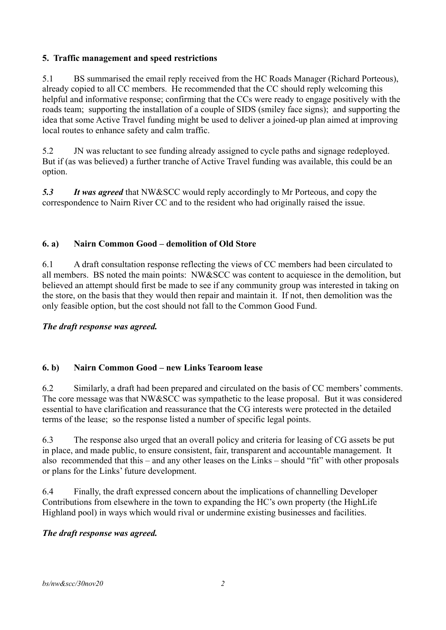# **5. Traffic management and speed restrictions**

5.1 BS summarised the email reply received from the HC Roads Manager (Richard Porteous), already copied to all CC members. He recommended that the CC should reply welcoming this helpful and informative response; confirming that the CCs were ready to engage positively with the roads team; supporting the installation of a couple of SIDS (smiley face signs); and supporting the idea that some Active Travel funding might be used to deliver a joined-up plan aimed at improving local routes to enhance safety and calm traffic.

5.2 JN was reluctant to see funding already assigned to cycle paths and signage redeployed. But if (as was believed) a further tranche of Active Travel funding was available, this could be an option.

*5.3 It was agreed* that NW&SCC would reply accordingly to Mr Porteous, and copy the correspondence to Nairn River CC and to the resident who had originally raised the issue.

# **6. a) Nairn Common Good – demolition of Old Store**

6.1 A draft consultation response reflecting the views of CC members had been circulated to all members. BS noted the main points: NW&SCC was content to acquiesce in the demolition, but believed an attempt should first be made to see if any community group was interested in taking on the store, on the basis that they would then repair and maintain it. If not, then demolition was the only feasible option, but the cost should not fall to the Common Good Fund.

# *The draft response was agreed.*

# **6. b) Nairn Common Good – new Links Tearoom lease**

6.2 Similarly, a draft had been prepared and circulated on the basis of CC members' comments. The core message was that NW&SCC was sympathetic to the lease proposal. But it was considered essential to have clarification and reassurance that the CG interests were protected in the detailed terms of the lease; so the response listed a number of specific legal points.

6.3 The response also urged that an overall policy and criteria for leasing of CG assets be put in place, and made public, to ensure consistent, fair, transparent and accountable management. It also recommended that this – and any other leases on the Links – should "fit" with other proposals or plans for the Links' future development.

6.4 Finally, the draft expressed concern about the implications of channelling Developer Contributions from elsewhere in the town to expanding the HC's own property (the HighLife Highland pool) in ways which would rival or undermine existing businesses and facilities.

# *The draft response was agreed.*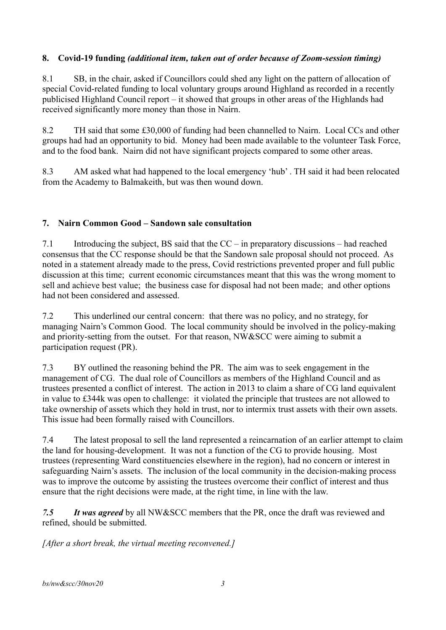# **8. Covid-19 funding** *(additional item, taken out of order because of Zoom-session timing)*

8.1 SB, in the chair, asked if Councillors could shed any light on the pattern of allocation of special Covid-related funding to local voluntary groups around Highland as recorded in a recently publicised Highland Council report – it showed that groups in other areas of the Highlands had received significantly more money than those in Nairn.

8.2 TH said that some £30,000 of funding had been channelled to Nairn. Local CCs and other groups had had an opportunity to bid. Money had been made available to the volunteer Task Force, and to the food bank. Nairn did not have significant projects compared to some other areas.

8.3 AM asked what had happened to the local emergency 'hub' . TH said it had been relocated from the Academy to Balmakeith, but was then wound down.

# **7. Nairn Common Good – Sandown sale consultation**

7.1 Introducing the subject, BS said that the CC – in preparatory discussions – had reached consensus that the CC response should be that the Sandown sale proposal should not proceed. As noted in a statement already made to the press, Covid restrictions prevented proper and full public discussion at this time; current economic circumstances meant that this was the wrong moment to sell and achieve best value; the business case for disposal had not been made; and other options had not been considered and assessed.

7.2 This underlined our central concern: that there was no policy, and no strategy, for managing Nairn's Common Good. The local community should be involved in the policy-making and priority-setting from the outset. For that reason, NW&SCC were aiming to submit a participation request (PR).

7.3 BY outlined the reasoning behind the PR. The aim was to seek engagement in the management of CG. The dual role of Councillors as members of the Highland Council and as trustees presented a conflict of interest. The action in 2013 to claim a share of CG land equivalent in value to £344k was open to challenge: it violated the principle that trustees are not allowed to take ownership of assets which they hold in trust, nor to intermix trust assets with their own assets. This issue had been formally raised with Councillors.

7.4 The latest proposal to sell the land represented a reincarnation of an earlier attempt to claim the land for housing-development. It was not a function of the CG to provide housing. Most trustees (representing Ward constituencies elsewhere in the region), had no concern or interest in safeguarding Nairn's assets. The inclusion of the local community in the decision-making process was to improve the outcome by assisting the trustees overcome their conflict of interest and thus ensure that the right decisions were made, at the right time, in line with the law.

*7.5 It was agreed* by all NW&SCC members that the PR, once the draft was reviewed and refined, should be submitted.

*[After a short break, the virtual meeting reconvened.]*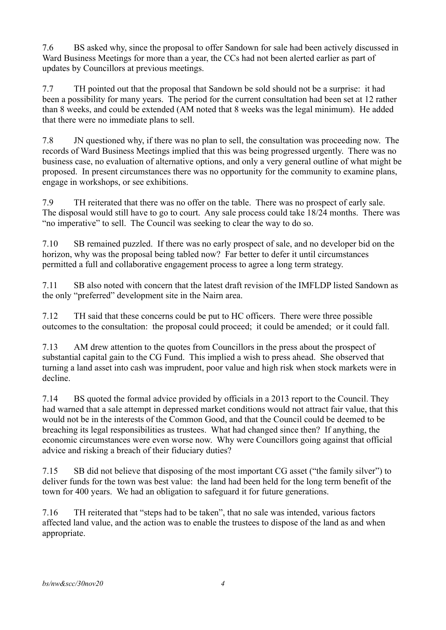7.6 BS asked why, since the proposal to offer Sandown for sale had been actively discussed in Ward Business Meetings for more than a year, the CCs had not been alerted earlier as part of updates by Councillors at previous meetings.

7.7 TH pointed out that the proposal that Sandown be sold should not be a surprise: it had been a possibility for many years. The period for the current consultation had been set at 12 rather than 8 weeks, and could be extended (AM noted that 8 weeks was the legal minimum). He added that there were no immediate plans to sell.

7.8 JN questioned why, if there was no plan to sell, the consultation was proceeding now. The records of Ward Business Meetings implied that this was being progressed urgently. There was no business case, no evaluation of alternative options, and only a very general outline of what might be proposed. In present circumstances there was no opportunity for the community to examine plans, engage in workshops, or see exhibitions.

7.9 TH reiterated that there was no offer on the table. There was no prospect of early sale. The disposal would still have to go to court. Any sale process could take 18/24 months. There was "no imperative" to sell. The Council was seeking to clear the way to do so.

7.10 SB remained puzzled. If there was no early prospect of sale, and no developer bid on the horizon, why was the proposal being tabled now? Far better to defer it until circumstances permitted a full and collaborative engagement process to agree a long term strategy.

7.11 SB also noted with concern that the latest draft revision of the IMFLDP listed Sandown as the only "preferred" development site in the Nairn area.

7.12 TH said that these concerns could be put to HC officers. There were three possible outcomes to the consultation: the proposal could proceed; it could be amended; or it could fall.

7.13 AM drew attention to the quotes from Councillors in the press about the prospect of substantial capital gain to the CG Fund. This implied a wish to press ahead. She observed that turning a land asset into cash was imprudent, poor value and high risk when stock markets were in decline.

7.14 BS quoted the formal advice provided by officials in a 2013 report to the Council. They had warned that a sale attempt in depressed market conditions would not attract fair value, that this would not be in the interests of the Common Good, and that the Council could be deemed to be breaching its legal responsibilities as trustees. What had changed since then? If anything, the economic circumstances were even worse now. Why were Councillors going against that official advice and risking a breach of their fiduciary duties?

7.15 SB did not believe that disposing of the most important CG asset ("the family silver") to deliver funds for the town was best value: the land had been held for the long term benefit of the town for 400 years. We had an obligation to safeguard it for future generations.

7.16 TH reiterated that "steps had to be taken", that no sale was intended, various factors affected land value, and the action was to enable the trustees to dispose of the land as and when appropriate.